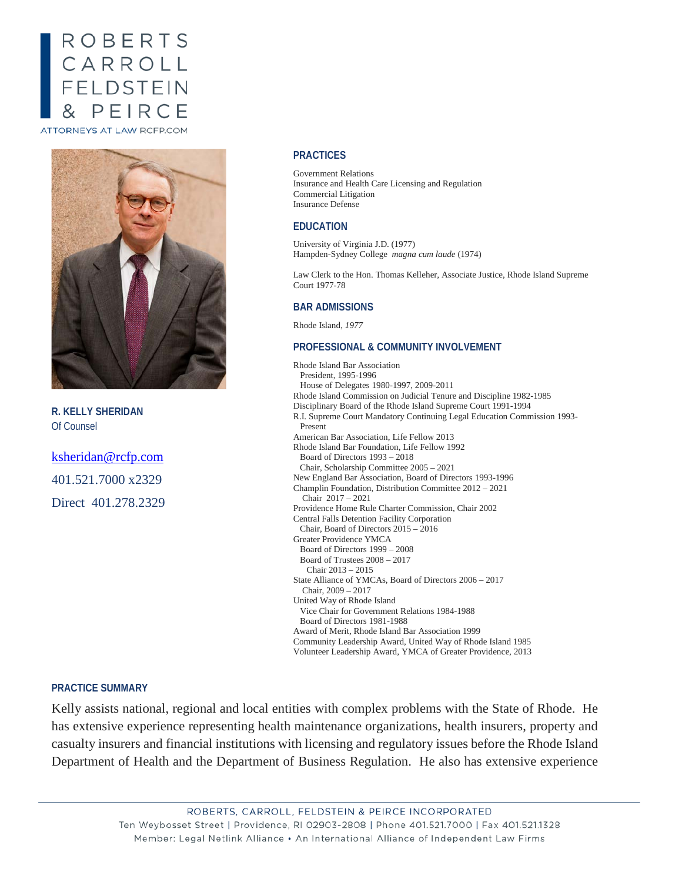# ROBERTS CARROLL<br>FELDSTEIN PEIRCE ATTORNEYS AT LAW RCFP.COM

**R. KELLY SHERIDAN** Of Counsel

[ksheridan@rcfp.com](mailto:kpettey@rcfp.com) 401.521.7000 x2329 Direct 401.278.2329

### **PRACTICES**

Government Relations Insurance and Health Care Licensing and Regulation Commercial Litigation Insurance Defense

#### **EDUCATION**

University of Virginia J.D. (1977) Hampden-Sydney College *magna cum laude* (1974)

Law Clerk to the Hon. Thomas Kelleher, Associate Justice, Rhode Island Supreme Court 1977-78

#### **BAR ADMISSIONS**

Rhode Island, *1977*

#### **PROFESSIONAL & COMMUNITY INVOLVEMENT**

Rhode Island Bar Association President, 1995-1996 House of Delegates 1980-1997, 2009-2011 Rhode Island Commission on Judicial Tenure and Discipline 1982-1985 Disciplinary Board of the Rhode Island Supreme Court 1991-1994 R.I. Supreme Court Mandatory Continuing Legal Education Commission 1993- Present American Bar Association, Life Fellow 2013 Rhode Island Bar Foundation, Life Fellow 1992 Board of Directors 1993 – 2018 Chair, Scholarship Committee 2005 – 2021 New England Bar Association, Board of Directors 1993-1996 Champlin Foundation, Distribution Committee 2012 – 2021 Chair 2017 – 2021 Providence Home Rule Charter Commission, Chair 2002 Central Falls Detention Facility Corporation Chair, Board of Directors 2015 – 2016 Greater Providence YMCA Board of Directors 1999 – 2008 Board of Trustees 2008 – 2017 Chair 2013 – 2015 State Alliance of YMCAs, Board of Directors 2006 – 2017 Chair, 2009 – 2017 United Way of Rhode Island Vice Chair for Government Relations 1984-1988 Board of Directors 1981-1988 Award of Merit, Rhode Island Bar Association 1999 Community Leadership Award, United Way of Rhode Island 1985 Volunteer Leadership Award, YMCA of Greater Providence, 2013

## **PRACTICE SUMMARY**

Kelly assists national, regional and local entities with complex problems with the State of Rhode. He has extensive experience representing health maintenance organizations, health insurers, property and casualty insurers and financial institutions with licensing and regulatory issues before the Rhode Island Department of Health and the Department of Business Regulation. He also has extensive experience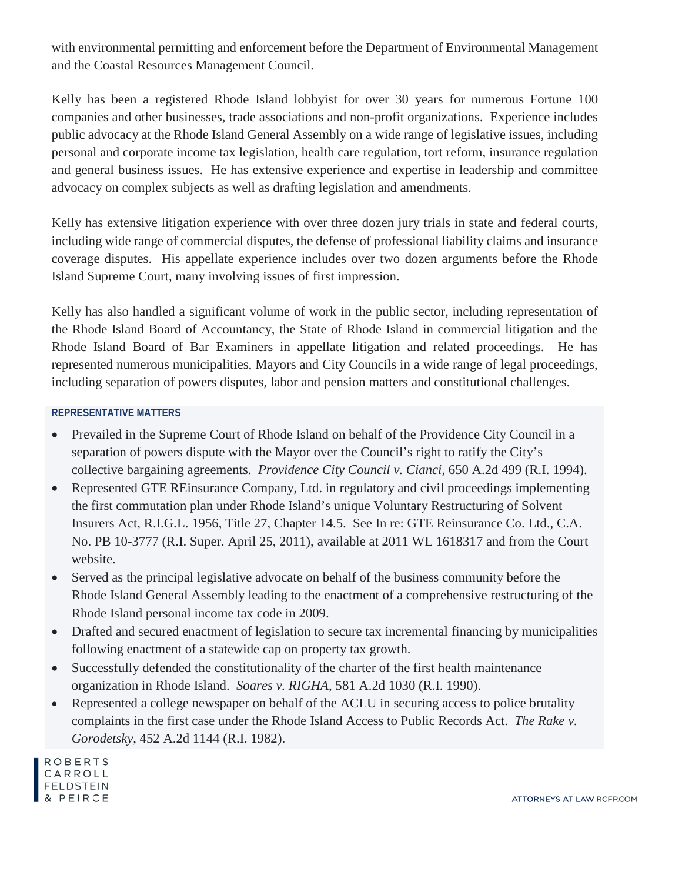with environmental permitting and enforcement before the Department of Environmental Management and the Coastal Resources Management Council.

Kelly has been a registered Rhode Island lobbyist for over 30 years for numerous Fortune 100 companies and other businesses, trade associations and non-profit organizations. Experience includes public advocacy at the Rhode Island General Assembly on a wide range of legislative issues, including personal and corporate income tax legislation, health care regulation, tort reform, insurance regulation and general business issues. He has extensive experience and expertise in leadership and committee advocacy on complex subjects as well as drafting legislation and amendments.

Kelly has extensive litigation experience with over three dozen jury trials in state and federal courts, including wide range of commercial disputes, the defense of professional liability claims and insurance coverage disputes. His appellate experience includes over two dozen arguments before the Rhode Island Supreme Court, many involving issues of first impression.

Kelly has also handled a significant volume of work in the public sector, including representation of the Rhode Island Board of Accountancy, the State of Rhode Island in commercial litigation and the Rhode Island Board of Bar Examiners in appellate litigation and related proceedings. He has represented numerous municipalities, Mayors and City Councils in a wide range of legal proceedings, including separation of powers disputes, labor and pension matters and constitutional challenges.

# **REPRESENTATIVE MATTERS**

- Prevailed in the Supreme Court of Rhode Island on behalf of the Providence City Council in a separation of powers dispute with the Mayor over the Council's right to ratify the City's collective bargaining agreements. *Providence City Council v. Cianci*, 650 A.2d 499 (R.I. 1994).
- Represented GTE REinsurance Company, Ltd. in regulatory and civil proceedings implementing the first commutation plan under Rhode Island's unique Voluntary Restructuring of Solvent Insurers Act, R.I.G.L. 1956, Title 27, Chapter 14.5. See In re: GTE Reinsurance Co. Ltd., C.A. No. PB 10-3777 (R.I. Super. April 25, 2011), available at 2011 WL 1618317 and from the [Court](https://www.courts.ri.gov/Courts/SuperiorCourt/DecisionsOrders/10-3777.pdf)  [website.](https://www.courts.ri.gov/Courts/SuperiorCourt/DecisionsOrders/10-3777.pdf)
- Served as the principal legislative advocate on behalf of the business community before the Rhode Island General Assembly leading to the enactment of a comprehensive restructuring of the Rhode Island personal income tax code in 2009.
- Drafted and secured enactment of legislation to secure tax incremental financing by municipalities following enactment of a statewide cap on property tax growth.
- Successfully defended the constitutionality of the charter of the first health maintenance organization in Rhode Island. *Soares v. RIGHA*, 581 A.2d 1030 (R.I. 1990).
- Represented a college newspaper on behalf of the ACLU in securing access to police brutality complaints in the first case under the Rhode Island Access to Public Records Act. *The Rake v. Gorodetsky*, 452 A.2d 1144 (R.I. 1982).

**ROBERTS** CARROLL **FELDSTEIN** PEIRCE